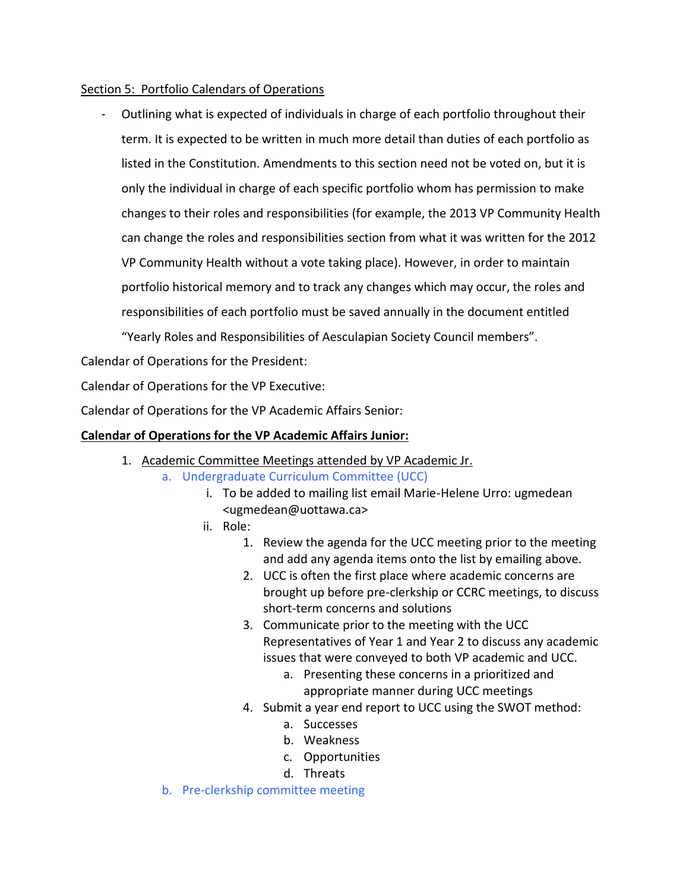#### Section 5: Portfolio Calendars of Operations

- Outlining what is expected of individuals in charge of each portfolio throughout their term. It is expected to be written in much more detail than duties of each portfolio as listed in the Constitution. Amendments to this section need not be voted on, but it is only the individual in charge of each specific portfolio whom has permission to make changes to their roles and responsibilities (for example, the 2013 VP Community Health can change the roles and responsibilities section from what it was written for the 2012 VP Community Health without a vote taking place). However, in order to maintain portfolio historical memory and to track any changes which may occur, the roles and responsibilities of each portfolio must be saved annually in the document entitled "Yearly Roles and Responsibilities of Aesculapian Society Council members".

Calendar of Operations for the President:

Calendar of Operations for the VP Executive:

Calendar of Operations for the VP Academic Affairs Senior:

#### **Calendar of Operations for the VP Academic Affairs Junior:**

- 1. Academic Committee Meetings attended by VP Academic Jr.
	- a. Undergraduate Curriculum Committee (UCC)
		- i. To be added to mailing list email Marie-Helene Urro: ugmedean <ugmedean@uottawa.ca>
		- ii. Role:
			- 1. Review the agenda for the UCC meeting prior to the meeting and add any agenda items onto the list by emailing above.
			- 2. UCC is often the first place where academic concerns are brought up before pre-clerkship or CCRC meetings, to discuss short-term concerns and solutions
			- 3. Communicate prior to the meeting with the UCC Representatives of Year 1 and Year 2 to discuss any academic issues that were conveyed to both VP academic and UCC.
				- a. Presenting these concerns in a prioritized and appropriate manner during UCC meetings
			- 4. Submit a year end report to UCC using the SWOT method:
				- a. Successes
				- b. Weakness
				- c. Opportunities
				- d. Threats
	- b. Pre-clerkship committee meeting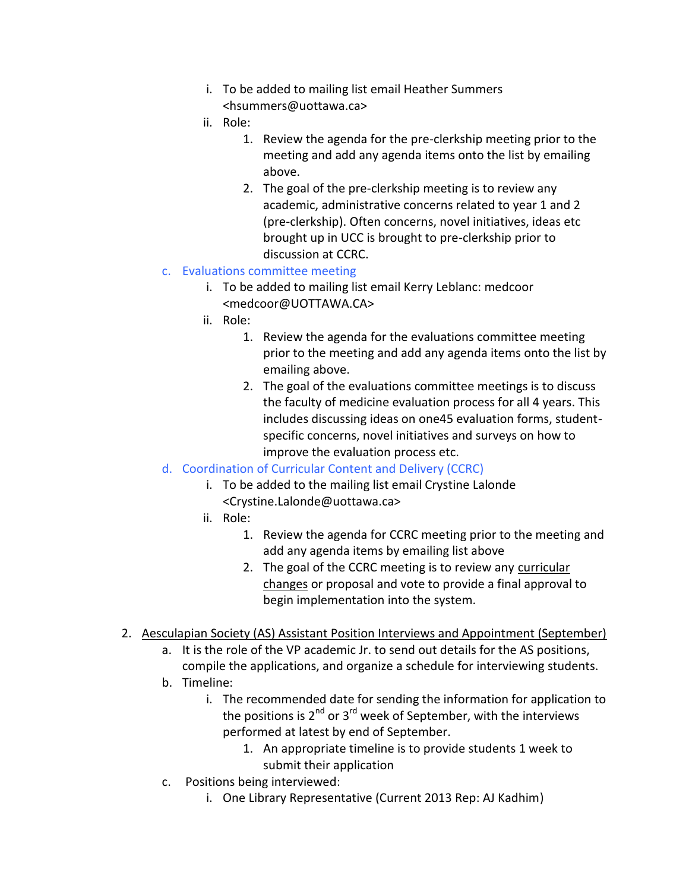- i. To be added to mailing list email Heather Summers <hsummers@uottawa.ca>
- ii. Role:
	- 1. Review the agenda for the pre-clerkship meeting prior to the meeting and add any agenda items onto the list by emailing above.
	- 2. The goal of the pre-clerkship meeting is to review any academic, administrative concerns related to year 1 and 2 (pre-clerkship). Often concerns, novel initiatives, ideas etc brought up in UCC is brought to pre-clerkship prior to discussion at CCRC.

# c. Evaluations committee meeting

- i. To be added to mailing list email Kerry Leblanc: medcoor <medcoor@UOTTAWA.CA>
- ii. Role:
	- 1. Review the agenda for the evaluations committee meeting prior to the meeting and add any agenda items onto the list by emailing above.
	- 2. The goal of the evaluations committee meetings is to discuss the faculty of medicine evaluation process for all 4 years. This includes discussing ideas on one45 evaluation forms, student specific concerns, novel initiatives and surveys on how to improve the evaluation process etc.
- d. Coordination of Curricular Content and Delivery (CCRC)
	- i. To be added to the mailing list email Crystine Lalonde <Crystine.Lalonde@uottawa.ca>
	- ii. Role:
		- 1. Review the agenda for CCRC meeting prior to the meeting and add any agenda items by emailing list above
		- 2. The goal of the CCRC meeting is to review any curricular changes or proposal and vote to provide a final approval to begin implementation into the system.
- 2. Aesculapian Society (AS) Assistant Position Interviews and Appointment (September)
	- a. It is the role of the VP academic Jr. to send out details for the AS positions,
	- compile the applications, and organize a schedule for interviewing students.
	- b. Timeline:
		- i. The recommended date for sending the information for application to the positions is  $2^{nd}$  or  $3^{rd}$  week of September, with the interviews performed at latest by end of September.
			- 1. An appropriate timeline is to provide students 1 week to submit their application
	- c. Positions being interviewed:
		- i. One Library Representative (Current 2013 Rep: AJ Kadhim)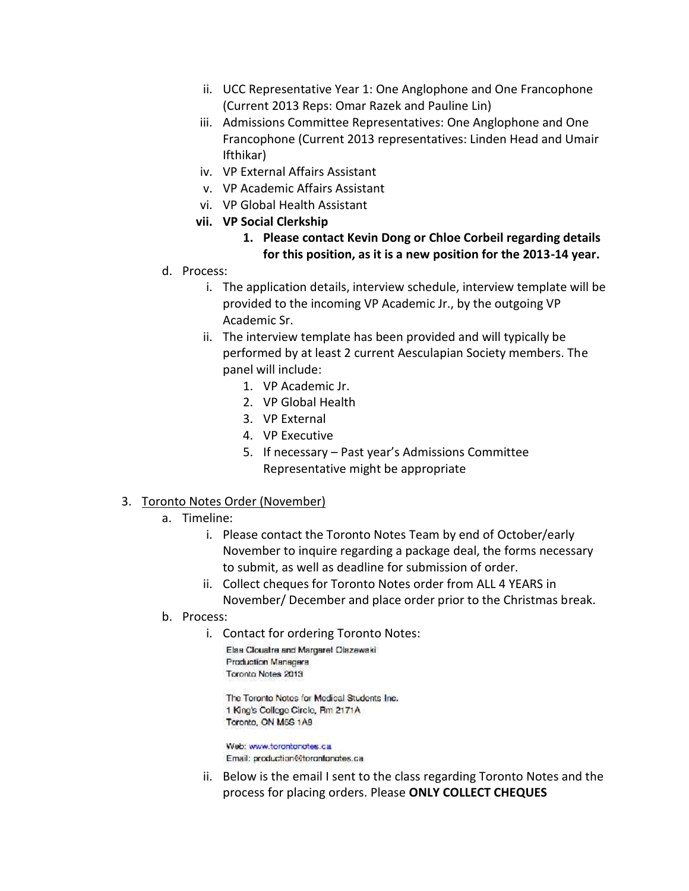- ii. UCC Representative Year 1: One Anglophone and One Francophone (Current 2013 Reps: Omar Razek and Pauline Lin)
- iii. Admissions Committee Representatives: One Anglophone and One Francophone (Current 2013 representatives: Linden Head and Umair Ifthikar)
- iv. VP External Affairs Assistant
- v. VP Academic Affairs Assistant
- vi. VP Global Health Assistant
- **vii. VP Social Clerkship**

#### **1. Please contact Kevin Dong or Chloe Corbeil regarding details for this position, as it is a new position for the 2013-14 year.**

- d. Process:
	- i. The application details, interview schedule, interview template will be provided to the incoming VP Academic Jr., by the outgoing VP Academic Sr.
	- ii. The interview template has been provided and will typically be performed by at least 2 current Aesculapian Society members. The panel will include:
		- 1. VP Academic Jr.
		- 2. VP Global Health
		- 3. VP External
		- 4. VP Executive
		- 5. If necessary Past year's Admissions Committee Representative might be appropriate

#### 3. Toronto Notes Order (November)

- a. Timeline:
	- i. Please contact the Toronto Notes Team by end of October/early November to inquire regarding a package deal, the forms necessary to submit, as well as deadline for submission of order.
	- ii. Collect cheques for Toronto Notes order from ALL 4 YEARS in November/ December and place order prior to the Christmas break.
- b. Process:
	- i. Contact for ordering Toronto Notes:

Elas Clouatre and Margaret Olszewaki Production Managers Toronto Notes 2013

The Toronto Notes for Medical Students Inc. 1 King's College Circle, Rm 2171A Toronto, ON M5S 1A9

Web: www.torontonotes.ca Email: production@torontonotes.ca

ii. Below is the email I sent to the class regarding Toronto Notes and the process for placing orders. Please **ONLY COLLECT CHEQUES**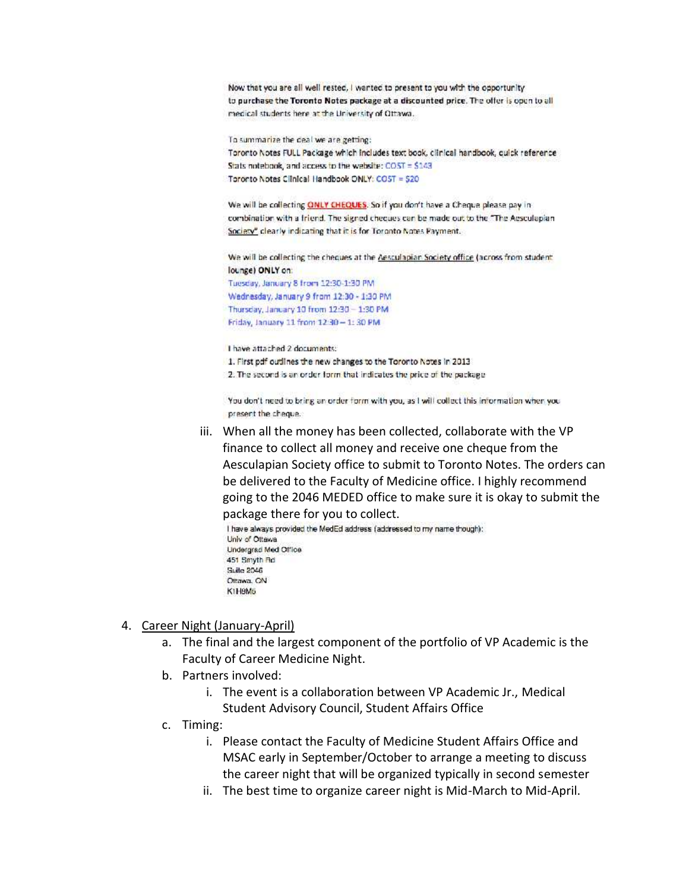Now that you are all well rested, I wanted to present to you with the opportunity to purchase the Toronto Notes package at a discounted price. The offer is open to all medical students here at the University of Ottawa.

To summarize the deal we are getting:

Toronto Notes FULL Package which includes text book, clinical handbook, quick reference Stats notebook, and access to the website: COST = \$143 Toronto Notes Clinical Handbook ONLY: COST = 520

We will be collecting ONLY CHEQUES. So if you don't have a Cheque please pay incombination with a friend. The signed cheques can be made out to the "The Aesculapian Society" clearly indicating that it is for Toronto Notes Payment.

We will be collecting the cheques at the Aesculapian Society office (across from student lounge) ONLY on: Tuesday, January 8 from 12:30-1:30 PM Wednesday, January 9 from 12:30 - 1:30 PM Thursday, January 10 from 12:30 - 1:30 PM Friday, January 11 from 12:30 - 1:30 PM

I have attached 2 documents: 1. First pdf outlines the new changes to the Toronto Notes in 2013 2. The second is an order form that indicates the price of the package

You don't need to bring an order form with you, as I will collect this information when you present the cheque.

iii. When all the money has been collected, collaborate with the VP finance to collect all money and receive one cheque from the Aesculapian Society office to submit to Toronto Notes. The orders can be delivered to the Faculty of Medicine office. I highly recommend going to the 2046 MEDED office to make sure it is okay to submit the package there for you to collect.

I have always provided the MedEd address (addressed to my name though): Univ of Ottawa **Undergrad Med Office** 451 Smyth Rd **Suite 2046** Ottawa, CN K1H9M5

#### 4. Career Night (January-April)

- a. The final and the largest component of the portfolio of VP Academic is the Faculty of Career Medicine Night.
- b. Partners involved:
	- i. The event is a collaboration between VP Academic Jr., Medical Student Advisory Council, Student Affairs Office
- c. Timing:
	- i. Please contact the Faculty of Medicine Student Affairs Office and MSAC early in September/October to arrange a meeting to discuss the career night that will be organized typically in second semester
	- ii. The best time to organize career night is Mid-March to Mid-April.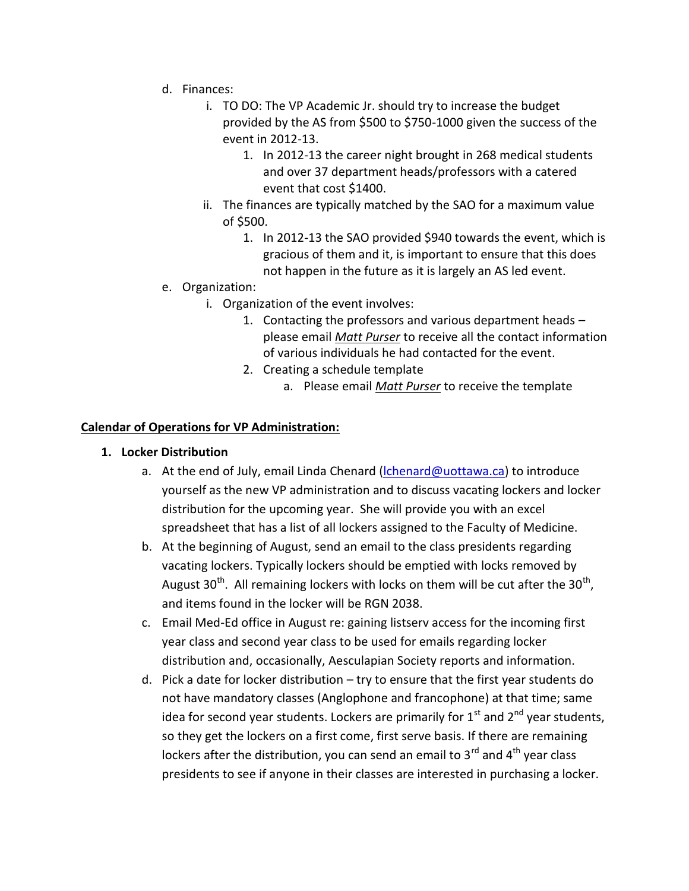- d. Finances:
	- i. TO DO: The VP Academic Jr. should try to increase the budget provided by the AS from \$500 to \$750-1000 given the success of the event in 2012-13.
		- 1. In 2012-13 the career night brought in 268 medical students and over 37 department heads/professors with a catered event that cost \$1400.
	- ii. The finances are typically matched by the SAO for a maximum value of \$500.
		- 1. In 2012-13 the SAO provided \$940 towards the event, which is gracious of them and it, is important to ensure that this does not happen in the future as it is largely an AS led event.
- e. Organization:
	- i. Organization of the event involves:
		- 1. Contacting the professors and various department heads please email *Matt Purser* to receive all the contact information of various individuals he had contacted for the event.
		- 2. Creating a schedule template
			- a. Please email *Matt Purser* to receive the template

# **Calendar of Operations for VP Administration:**

- **1. Locker Distribution**
	- a. At the end of July, email Linda Chenard (lchenard@uottawa.ca) to introduce yourself as the new VP administration and to discuss vacating lockers and locker distribution for the upcoming year. She will provide you with an excel spreadsheet that has a list of all lockers assigned to the Faculty of Medicine.
	- b. At the beginning of August, send an email to the class presidents regarding vacating lockers. Typically lockers should be emptied with locks removed by August 30<sup>th</sup>. All remaining lockers with locks on them will be cut after the 30<sup>th</sup>, and items found in the locker will be RGN 2038.
	- c. Email Med-Ed office in August re: gaining listserv access for the incoming first year class and second year class to be used for emails regarding locker distribution and, occasionally, Aesculapian Society reports and information.
	- d. Pick a date for locker distribution try to ensure that the first year students do not have mandatory classes (Anglophone and francophone) at that time; same idea for second year students. Lockers are primarily for  $1<sup>st</sup>$  and  $2<sup>nd</sup>$  year students, so they get the lockers on a first come, first serve basis. If there are remaining lockers after the distribution, you can send an email to  $3^{rd}$  and  $4^{th}$  year class presidents to see if anyone in their classes are interested in purchasing a locker.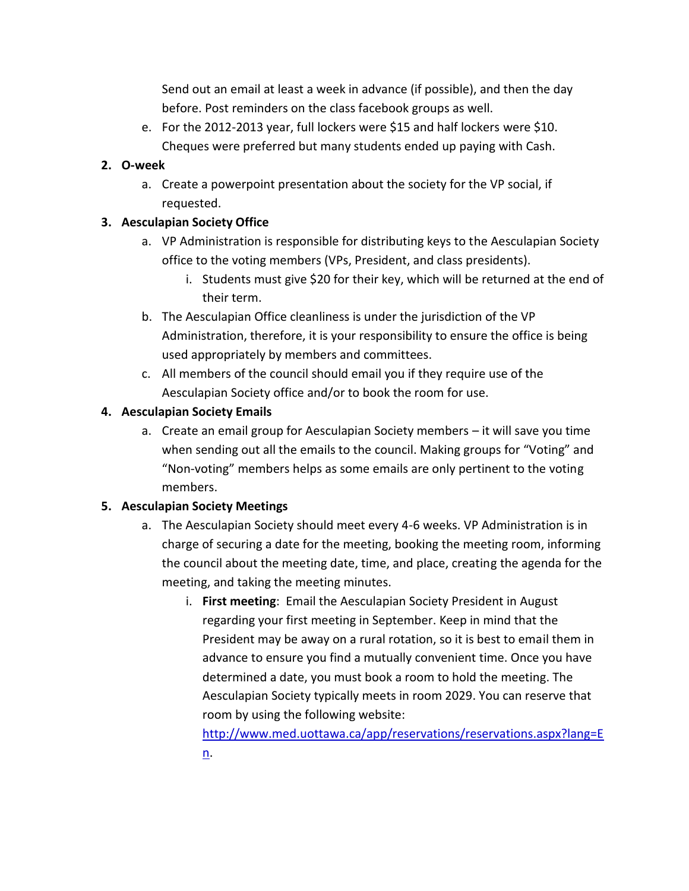Send out an email at least a week in advance (if possible), and then the day before. Post reminders on the class facebook groups as well.

e. For the 2012-2013 year, full lockers were \$15 and half lockers were \$10. Cheques were preferred but many students ended up paying with Cash.

# **2. O-week**

a. Create a powerpoint presentation about the society for the VP social, if requested.

# **3. Aesculapian Society Office**

- a. VP Administration is responsible for distributing keys to the Aesculapian Society office to the voting members (VPs, President, and class presidents).
	- i. Students must give \$20 for their key, which will be returned at the end of their term.
- b. The Aesculapian Office cleanliness is under the jurisdiction of the VP Administration, therefore, it is your responsibility to ensure the office is being used appropriately by members and committees.
- c. All members of the council should email you if they require use of the Aesculapian Society office and/or to book the room for use.

# **4. Aesculapian Society Emails**

a. Create an email group for Aesculapian Society members – it will save you time when sending out all the emails to the council. Making groups for "Voting" and "Non-voting" members helps as some emails are only pertinent to the voting members.

# **5. Aesculapian Society Meetings**

- a. The Aesculapian Society should meet every 4-6 weeks. VP Administration is in charge of securing a date for the meeting, booking the meeting room, informing the council about the meeting date, time, and place, creating the agenda for the meeting, and taking the meeting minutes.
	- i. **First meeting**: Email the Aesculapian Society President in August regarding your first meeting in September. Keep in mind that the President may be away on a rural rotation, so it is best to email them in advance to ensure you find a mutually convenient time. Once you have determined a date, you must book a room to hold the meeting. The Aesculapian Society typically meets in room 2029. You can reserve that room by using the following website:

http://www.med.uottawa.ca/app/reservations/reservations.aspx?lang=E n.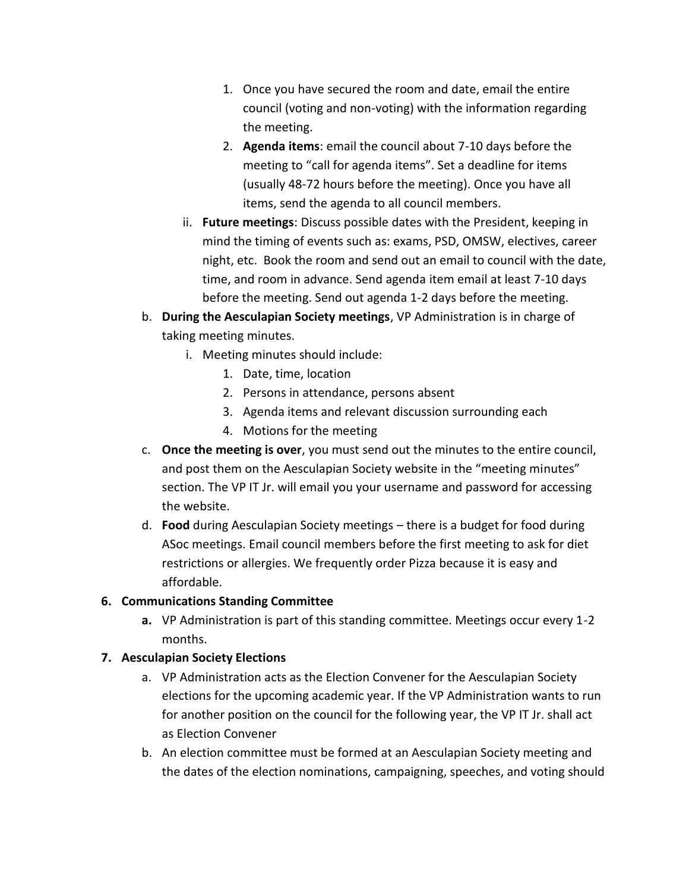- 1. Once you have secured the room and date, email the entire council (voting and non-voting) with the information regarding the meeting.
- 2. **Agenda items**: email the council about 7-10 days before the meeting to "call for agenda items". Set a deadline for items (usually 48-72 hours before the meeting). Once you have all items, send the agenda to all council members.
- ii. **Future meetings**: Discuss possible dates with the President, keeping in mind the timing of events such as: exams, PSD, OMSW, electives, career night, etc. Book the room and send out an email to council with the date, time, and room in advance. Send agenda item email at least 7-10 days before the meeting. Send out agenda 1-2 days before the meeting.
- b. **During the Aesculapian Society meetings**, VP Administration is in charge of taking meeting minutes.
	- i. Meeting minutes should include:
		- 1. Date, time, location
		- 2. Persons in attendance, persons absent
		- 3. Agenda items and relevant discussion surrounding each
		- 4. Motions for the meeting
- c. **Once the meeting is over**, you must send out the minutes to the entire council, and post them on the Aesculapian Society website in the "meeting minutes" section. The VP IT Jr. will email you your username and password for accessing the website.
- d. **Food** during Aesculapian Society meetings there is a budget for food during ASoc meetings. Email council members before the first meeting to ask for diet restrictions or allergies. We frequently order Pizza because it is easy and affordable.

# **6. Communications Standing Committee**

**a.** VP Administration is part of this standing committee. Meetings occur every 1-2 months.

# **7. Aesculapian Society Elections**

- a. VP Administration acts as the Election Convener for the Aesculapian Society elections for the upcoming academic year. If the VP Administration wants to run for another position on the council for the following year, the VP IT Jr. shall act as Election Convener
- b. An election committee must be formed at an Aesculapian Society meeting and the dates of the election nominations, campaigning, speeches, and voting should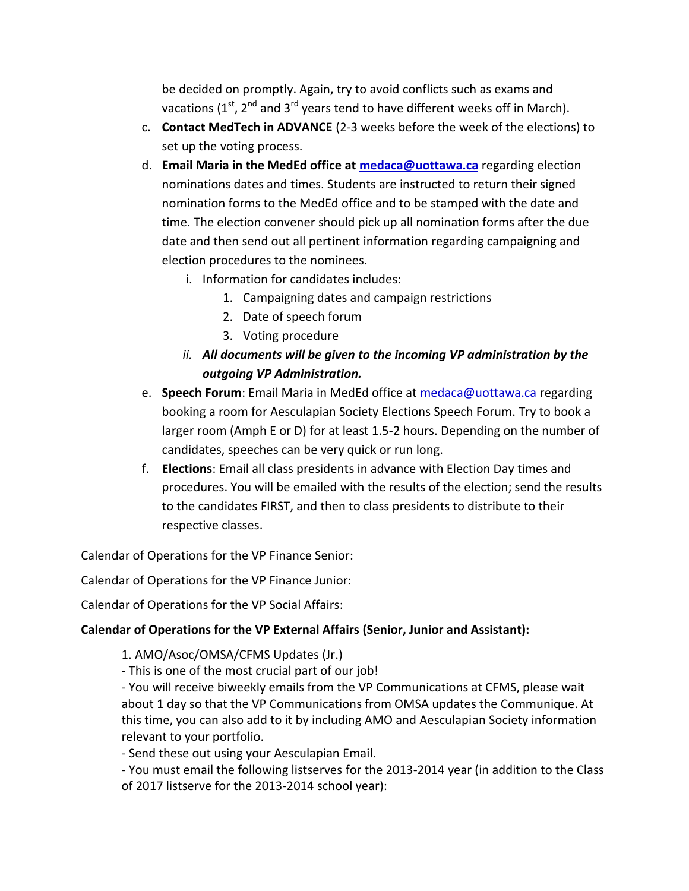be decided on promptly. Again, try to avoid conflicts such as exams and vacations ( $1^{st}$ ,  $2^{nd}$  and  $3^{rd}$  years tend to have different weeks off in March).

- c. **Contact MedTech in ADVANCE** (2-3 weeks before the week of the elections) to set up the voting process.
- d. **Email Maria in the MedEd office at medaca@uottawa.ca** regarding election nominations dates and times. Students are instructed to return their signed nomination forms to the MedEd office and to be stamped with the date and time. The election convener should pick up all nomination forms after the due date and then send out all pertinent information regarding campaigning and election procedures to the nominees.
	- i. Information for candidates includes:
		- 1. Campaigning dates and campaign restrictions
		- 2. Date of speech forum
		- 3. Voting procedure
	- *ii. All documents will be given to the incoming VP administration by the outgoing VP Administration.*
- e. **Speech Forum**: Email Maria in MedEd office at medaca@uottawa.ca regarding booking a room for Aesculapian Society Elections Speech Forum. Try to book a larger room (Amph E or D) for at least 1.5-2 hours. Depending on the number of candidates, speeches can be very quick or run long.
- f. **Elections**: Email all class presidents in advance with Election Day times and procedures. You will be emailed with the results of the election; send the results to the candidates FIRST, and then to class presidents to distribute to their respective classes.

Calendar of Operations for the VP Finance Senior:

Calendar of Operations for the VP Finance Junior:

Calendar of Operations for the VP Social Affairs:

# **Calendar of Operations for the VP External Affairs (Senior, Junior and Assistant):**

1. AMO/Asoc/OMSA/CFMS Updates (Jr.)

- This is one of the most crucial part of our job!

- You will receive biweekly emails from the VP Communications at CFMS, please wait about 1 day so that the VP Communications from OMSA updates the Communique. At this time, you can also add to it by including AMO and Aesculapian Society information relevant to your portfolio.

- Send these out using your Aesculapian Email.

- You must email the following listserves for the 2013-2014 year (in addition to the Class of 2017 listserve for the 2013-2014 school year):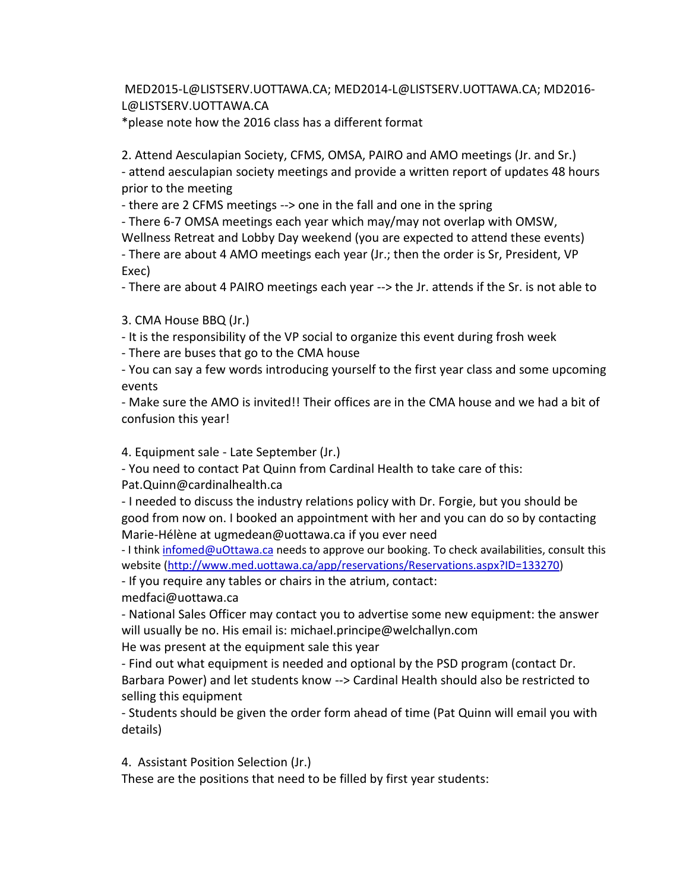MED2015-L@LISTSERV.UOTTAWA.CA; MED2014-L@LISTSERV.UOTTAWA.CA; MD2016- L@LISTSERV.UOTTAWA.CA

\*please note how the 2016 class has a different format

2. Attend Aesculapian Society, CFMS, OMSA, PAIRO and AMO meetings (Jr. and Sr.) - attend aesculapian society meetings and provide a written report of updates 48 hours prior to the meeting

- there are 2 CFMS meetings --> one in the fall and one in the spring

- There 6-7 OMSA meetings each year which may/may not overlap with OMSW, Wellness Retreat and Lobby Day weekend (you are expected to attend these events) - There are about 4 AMO meetings each year (Jr.; then the order is Sr, President, VP

Exec)

- There are about 4 PAIRO meetings each year --> the Jr. attends if the Sr. is not able to

3. CMA House BBQ (Jr.)

- It is the responsibility of the VP social to organize this event during frosh week

- There are buses that go to the CMA house

- You can say a few words introducing yourself to the first year class and some upcoming events

- Make sure the AMO is invited!! Their offices are in the CMA house and we had a bit of confusion this year!

4. Equipment sale - Late September (Jr.)

- You need to contact Pat Quinn from Cardinal Health to take care of this:

Pat.Quinn@cardinalhealth.ca

- I needed to discuss the industry relations policy with Dr. Forgie, but you should be good from now on. I booked an appointment with her and you can do so by contacting Marie-Hélène at ugmedean@uottawa.ca if you ever need

- I think infomed@uOttawa.ca needs to approve our booking. To check availabilities, consult this website (http://www.med.uottawa.ca/app/reservations/Reservations.aspx?ID=133270)

- If you require any tables or chairs in the atrium, contact: medfaci@uottawa.ca

- National Sales Officer may contact you to advertise some new equipment: the answer will usually be no. His email is: michael.principe@welchallyn.com

He was present at the equipment sale this year

- Find out what equipment is needed and optional by the PSD program (contact Dr. Barbara Power) and let students know --> Cardinal Health should also be restricted to selling this equipment

- Students should be given the order form ahead of time (Pat Quinn will email you with details)

4. Assistant Position Selection (Jr.)

These are the positions that need to be filled by first year students: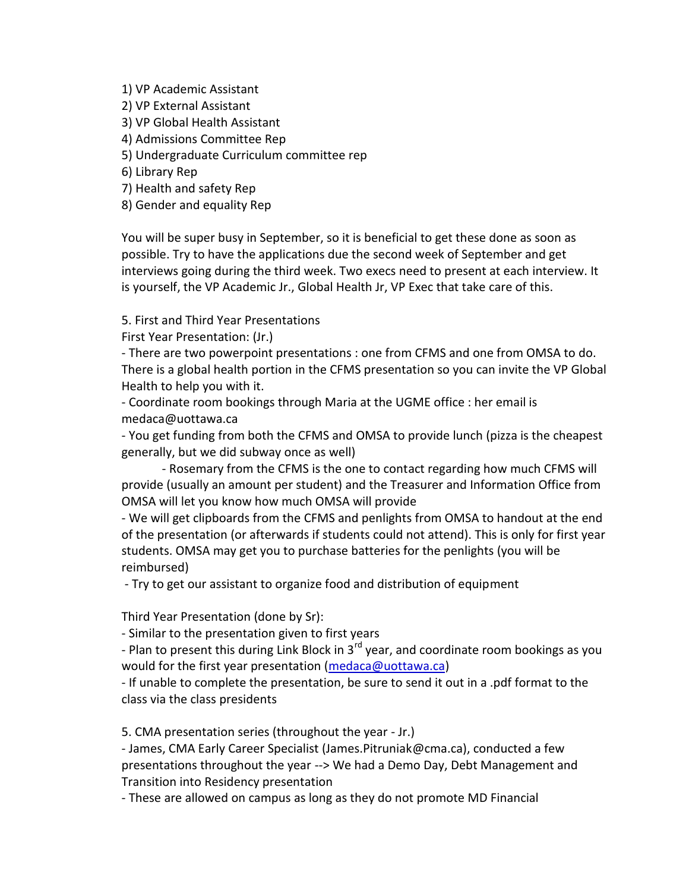1) VP Academic Assistant

2) VP External Assistant

3) VP Global Health Assistant

4) Admissions Committee Rep

5) Undergraduate Curriculum committee rep

6) Library Rep

7) Health and safety Rep

8) Gender and equality Rep

You will be super busy in September, so it is beneficial to get these done as soon as possible. Try to have the applications due the second week of September and get interviews going during the third week. Two execs need to present at each interview. It is yourself, the VP Academic Jr., Global Health Jr, VP Exec that take care of this.

5. First and Third Year Presentations

First Year Presentation: (Jr.)

- There are two powerpoint presentations : one from CFMS and one from OMSA to do. There is a global health portion in the CFMS presentation so you can invite the VP Global Health to help you with it.

- Coordinate room bookings through Maria at the UGME office : her email is medaca@uottawa.ca

- You get funding from both the CFMS and OMSA to provide lunch (pizza is the cheapest generally, but we did subway once as well)

- Rosemary from the CFMS is the one to contact regarding how much CFMS will provide (usually an amount per student) and the Treasurer and Information Office from OMSA will let you know how much OMSA will provide

- We will get clipboards from the CFMS and penlights from OMSA to handout at the end of the presentation (or afterwards if students could not attend). This is only for first year students. OMSA may get you to purchase batteries for the penlights (you will be reimbursed)

- Try to get our assistant to organize food and distribution of equipment

Third Year Presentation (done by Sr):

- Similar to the presentation given to first years

- Plan to present this during Link Block in  $3^{rd}$  year, and coordinate room bookings as you would for the first year presentation (medaca@uottawa.ca)

- If unable to complete the presentation, be sure to send it out in a .pdf format to the class via the class presidents

5. CMA presentation series (throughout the year - Jr.)

- James, CMA Early Career Specialist (James.Pitruniak@cma.ca), conducted a few presentations throughout the year --> We had a Demo Day, Debt Management and Transition into Residency presentation

- These are allowed on campus as long as they do not promote MD Financial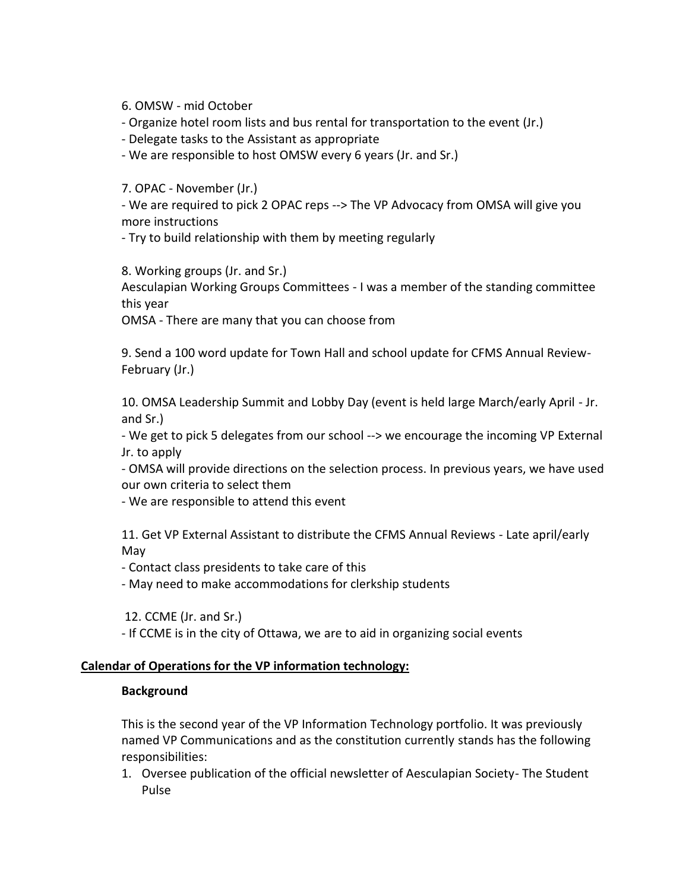6. OMSW - mid October

- Organize hotel room lists and bus rental for transportation to the event (Jr.)

- Delegate tasks to the Assistant as appropriate

- We are responsible to host OMSW every 6 years (Jr. and Sr.)

7. OPAC - November (Jr.)

- We are required to pick 2 OPAC reps --> The VP Advocacy from OMSA will give you more instructions

- Try to build relationship with them by meeting regularly

8. Working groups (Jr. and Sr.)

Aesculapian Working Groups Committees - I was a member of the standing committee this year

OMSA - There are many that you can choose from

9. Send a 100 word update for Town Hall and school update for CFMS Annual Review- February (Jr.)

10. OMSA Leadership Summit and Lobby Day (event is held large March/early April - Jr. and Sr.)

- We get to pick 5 delegates from our school --> we encourage the incoming VP External Jr. to apply

- OMSA will provide directions on the selection process. In previous years, we have used our own criteria to select them

- We are responsible to attend this event

11. Get VP External Assistant to distribute the CFMS Annual Reviews - Late april/early May

- Contact class presidents to take care of this

- May need to make accommodations for clerkship students

12. CCME (Jr. and Sr.)

- If CCME is in the city of Ottawa, we are to aid in organizing social events

#### **Calendar of Operations for the VP information technology:**

#### **Background**

This is the second year of the VP Information Technology portfolio. It was previously named VP Communications and as the constitution currently stands has the following responsibilities:

1. Oversee publication of the official newsletter of Aesculapian Society- The Student Pulse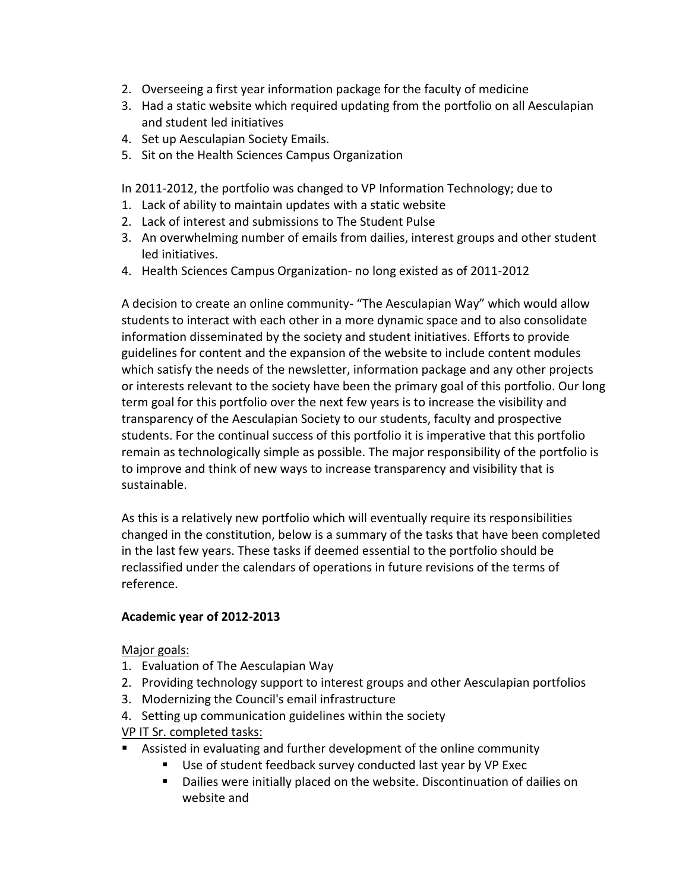- 2. Overseeing a first year information package for the faculty of medicine
- 3. Had a static website which required updating from the portfolio on all Aesculapian and student led initiatives
- 4. Set up Aesculapian Society Emails.
- 5. Sit on the Health Sciences Campus Organization

In 2011-2012, the portfolio was changed to VP Information Technology; due to

- 1. Lack of ability to maintain updates with a static website
- 2. Lack of interest and submissions to The Student Pulse
- 3. An overwhelming number of emails from dailies, interest groups and other student led initiatives.
- 4. Health Sciences Campus Organization- no long existed as of 2011-2012

A decision to create an online community- "The Aesculapian Way" which would allow students to interact with each other in a more dynamic space and to also consolidate information disseminated by the society and student initiatives. Efforts to provide guidelines for content and the expansion of the website to include content modules which satisfy the needs of the newsletter, information package and any other projects or interests relevant to the society have been the primary goal of this portfolio. Our long term goal for this portfolio over the next few years is to increase the visibility and transparency of the Aesculapian Society to our students, faculty and prospective students. For the continual success of this portfolio it is imperative that this portfolio remain as technologically simple as possible. The major responsibility of the portfolio is to improve and think of new ways to increase transparency and visibility that is sustainable.

As this is a relatively new portfolio which will eventually require its responsibilities changed in the constitution, below is a summary of the tasks that have been completed in the last few years. These tasks if deemed essential to the portfolio should be reclassified under the calendars of operations in future revisions of the terms of reference.

# **Academic year of 2012-2013**

Major goals:

- 1. Evaluation of The Aesculapian Way
- 2. Providing technology support to interest groups and other Aesculapian portfolios
- 3. Modernizing the Council's email infrastructure
- 4. Setting up communication guidelines within the society

# VP IT Sr. completed tasks:

- Assisted in evaluating and further development of the online community
	- Use of student feedback survey conducted last year by VP Exec
	- Dailies were initially placed on the website. Discontinuation of dailies on website and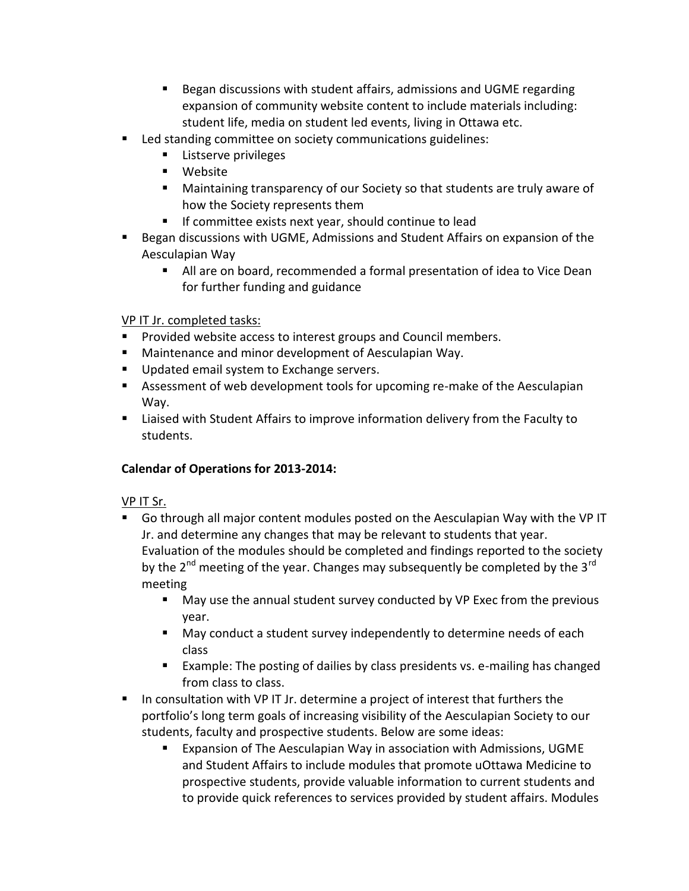- Began discussions with student affairs, admissions and UGME regarding expansion of community website content to include materials including: student life, media on student led events, living in Ottawa etc.
- **Led standing committee on society communications guidelines:** 
	- Listserve privileges
	- Website
	- Maintaining transparency of our Society so that students are truly aware of how the Society represents them
	- **If committee exists next year, should continue to lead**
- **Began discussions with UGME, Admissions and Student Affairs on expansion of the** Aesculapian Way
	- All are on board, recommended a formal presentation of idea to Vice Dean for further funding and guidance

#### VP IT Jr. completed tasks:

- **Provided website access to interest groups and Council members.**
- **Maintenance and minor development of Aesculapian Way.**
- **Updated email system to Exchange servers.**
- Assessment of web development tools for upcoming re-make of the Aesculapian Way.
- Liaised with Student Affairs to improve information delivery from the Faculty to students.

# **Calendar of Operations for 2013-2014:**

# VP IT Sr.

- Go through all major content modules posted on the Aesculapian Way with the VP IT Jr. and determine any changes that may be relevant to students that year. Evaluation of the modules should be completed and findings reported to the society by the  $2^{nd}$  meeting of the year. Changes may subsequently be completed by the  $3^{rd}$ meeting
	- May use the annual student survey conducted by VP Exec from the previous year.
	- May conduct a student survey independently to determine needs of each class
	- Example: The posting of dailies by class presidents vs. e-mailing has changed from class to class.
- In consultation with VP IT Jr. determine a project of interest that furthers the portfolio's long term goals of increasing visibility of the Aesculapian Society to our students, faculty and prospective students. Below are some ideas:
	- Expansion of The Aesculapian Way in association with Admissions, UGME and Student Affairs to include modules that promote uOttawa Medicine to prospective students, provide valuable information to current students and to provide quick references to services provided by student affairs. Modules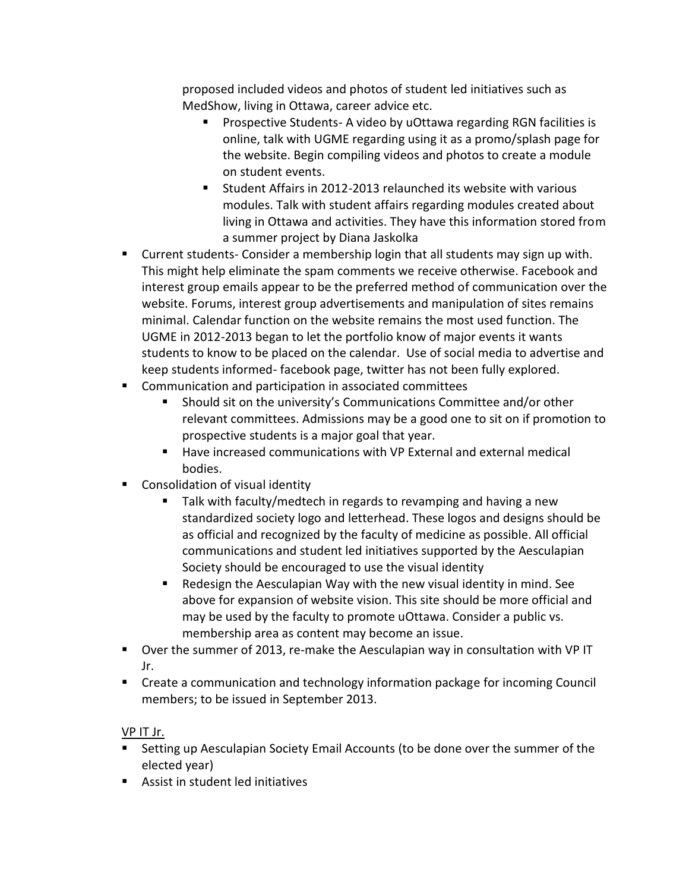proposed included videos and photos of student led initiatives such as MedShow, living in Ottawa, career advice etc.

- **Prospective Students- A video by uOttawa regarding RGN facilities is** online, talk with UGME regarding using it as a promo/splash page for the website. Begin compiling videos and photos to create a module on student events.
- Student Affairs in 2012-2013 relaunched its website with various modules. Talk with student affairs regarding modules created about living in Ottawa and activities. They have this information stored from a summer project by Diana Jaskolka
- **EXTENDITY CULTER 1** Current students- Consider a membership login that all students may sign up with. This might help eliminate the spam comments we receive otherwise. Facebook and interest group emails appear to be the preferred method of communication over the website. Forums, interest group advertisements and manipulation of sites remains minimal. Calendar function on the website remains the most used function. The UGME in 2012-2013 began to let the portfolio know of major events it wants students to know to be placed on the calendar. Use of social media to advertise and keep students informed- facebook page, twitter has not been fully explored.
- Communication and participation in associated committees
	- Should sit on the university's Communications Committee and/or other relevant committees. Admissions may be a good one to sit on if promotion to prospective students is a major goal that year.
	- Have increased communications with VP External and external medical bodies.
- **Consolidation of visual identity** 
	- Talk with faculty/medtech in regards to revamping and having a new standardized society logo and letterhead. These logos and designs should be as official and recognized by the faculty of medicine as possible. All official communications and student led initiatives supported by the Aesculapian Society should be encouraged to use the visual identity
	- Redesign the Aesculapian Way with the new visual identity in mind. See above for expansion of website vision. This site should be more official and may be used by the faculty to promote uOttawa. Consider a public vs. membership area as content may become an issue.
- Over the summer of 2013, re-make the Aesculapian way in consultation with VP IT Jr.
- Create a communication and technology information package for incoming Council members; to be issued in September 2013.

VP IT Jr.

- Setting up Aesculapian Society Email Accounts (to be done over the summer of the elected year)
- Assist in student led initiatives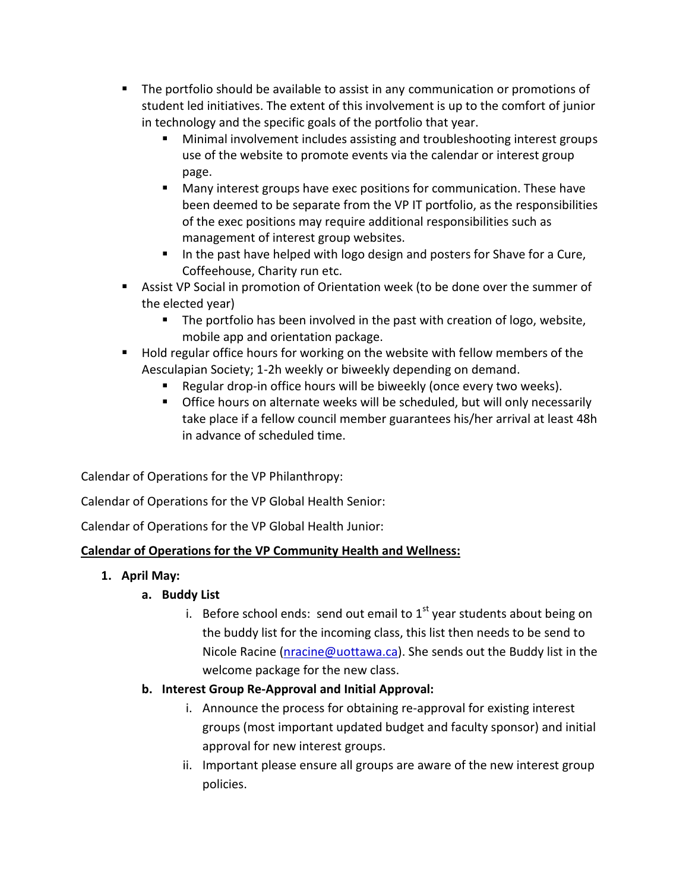- The portfolio should be available to assist in any communication or promotions of student led initiatives. The extent of this involvement is up to the comfort of junior in technology and the specific goals of the portfolio that year.
	- Minimal involvement includes assisting and troubleshooting interest groups use of the website to promote events via the calendar or interest group page.
	- **Many interest groups have exec positions for communication. These have** been deemed to be separate from the VP IT portfolio, as the responsibilities of the exec positions may require additional responsibilities such as management of interest group websites.
	- In the past have helped with logo design and posters for Shave for a Cure, Coffeehouse, Charity run etc.
- Assist VP Social in promotion of Orientation week (to be done over the summer of the elected year)
	- **The portfolio has been involved in the past with creation of logo, website,** mobile app and orientation package.
- **Hold regular office hours for working on the website with fellow members of the** Aesculapian Society; 1-2h weekly or biweekly depending on demand.
	- **E** Regular drop-in office hours will be biweekly (once every two weeks).
	- **Office hours on alternate weeks will be scheduled, but will only necessarily** take place if a fellow council member guarantees his/her arrival at least 48h in advance of scheduled time.

Calendar of Operations for the VP Philanthropy:

Calendar of Operations for the VP Global Health Senior:

Calendar of Operations for the VP Global Health Junior:

# **Calendar of Operations for the VP Community Health and Wellness:**

**1. April May:**

# **a. Buddy List**

i. Before school ends: send out email to  $1<sup>st</sup>$  year students about being on the buddy list for the incoming class, this list then needs to be send to Nicole Racine (nracine@uottawa.ca). She sends out the Buddy list in the welcome package for the new class.

# **b. Interest Group Re-Approval and Initial Approval:**

- i. Announce the process for obtaining re-approval for existing interest groups (most important updated budget and faculty sponsor) and initial approval for new interest groups.
- ii. Important please ensure all groups are aware of the new interest group policies.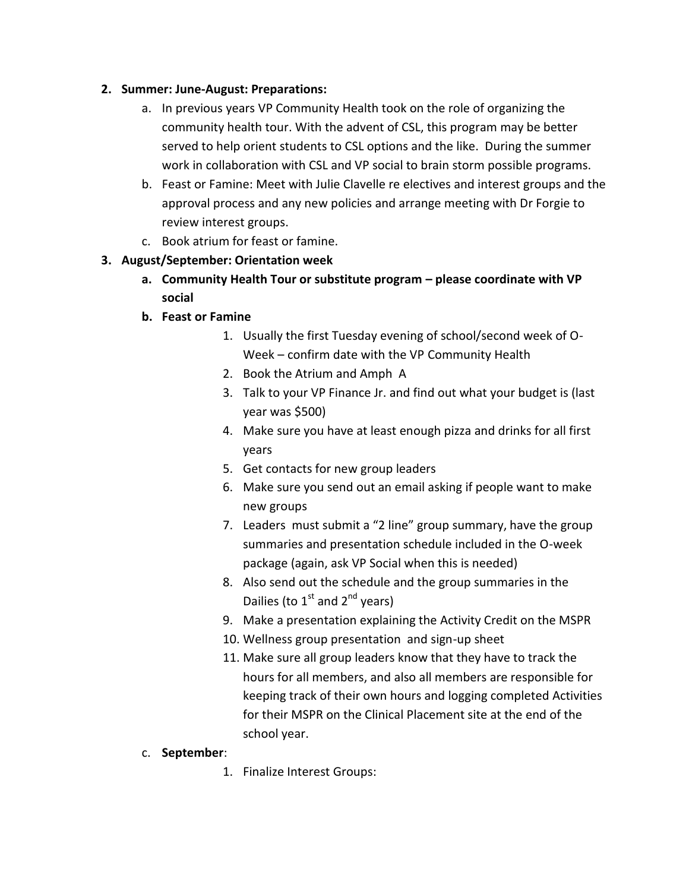#### **2. Summer: June-August: Preparations:**

- a. In previous years VP Community Health took on the role of organizing the community health tour. With the advent of CSL, this program may be better served to help orient students to CSL options and the like. During the summer work in collaboration with CSL and VP social to brain storm possible programs.
- b. Feast or Famine: Meet with Julie Clavelle re electives and interest groups and the approval process and any new policies and arrange meeting with Dr Forgie to review interest groups.
- c. Book atrium for feast or famine.
- **3. August/September: Orientation week**
	- **a. Community Health Tour or substitute program – please coordinate with VP social**
	- **b. Feast or Famine**
		- 1. Usually the first Tuesday evening of school/second week of O- Week – confirm date with the VP Community Health
		- 2. Book the Atrium and Amph A
		- 3. Talk to your VP Finance Jr. and find out what your budget is (last year was \$500)
		- 4. Make sure you have at least enough pizza and drinks for all first years
		- 5. Get contacts for new group leaders
		- 6. Make sure you send out an email asking if people want to make new groups
		- 7. Leaders must submit a "2 line" group summary, have the group summaries and presentation schedule included in the O-week package (again, ask VP Social when this is needed)
		- 8. Also send out the schedule and the group summaries in the Dailies (to  $1<sup>st</sup>$  and  $2<sup>nd</sup>$  years)
		- 9. Make a presentation explaining the Activity Credit on the MSPR
		- 10. Wellness group presentation and sign-up sheet
		- 11. Make sure all group leaders know that they have to track the hours for all members, and also all members are responsible for keeping track of their own hours and logging completed Activities for their MSPR on the Clinical Placement site at the end of the school year.
	- c. **September**:
		- 1. Finalize Interest Groups: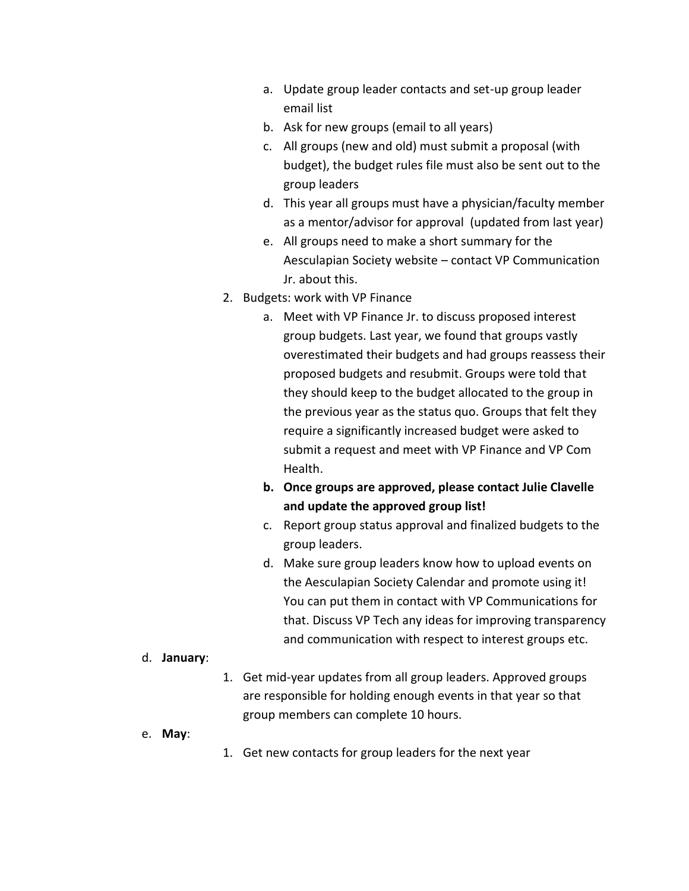- a. Update group leader contacts and set-up group leader email list
- b. Ask for new groups (email to all years)
- c. All groups (new and old) must submit a proposal (with budget), the budget rules file must also be sent out to the group leaders
- d. This year all groups must have a physician/faculty member as a mentor/advisor for approval (updated from last year)
- e. All groups need to make a short summary for the Aesculapian Society website – contact VP Communication Jr. about this.
- 2. Budgets: work with VP Finance
	- a. Meet with VP Finance Jr. to discuss proposed interest group budgets. Last year, we found that groups vastly overestimated their budgets and had groups reassess their proposed budgets and resubmit. Groups were told that they should keep to the budget allocated to the group in the previous year as the status quo. Groups that felt they require a significantly increased budget were asked to submit a request and meet with VP Finance and VP Com Health.
	- **b. Once groups are approved, please contact Julie Clavelle and update the approved group list!**
	- c. Report group status approval and finalized budgets to the group leaders.
	- d. Make sure group leaders know how to upload events on the Aesculapian Society Calendar and promote using it! You can put them in contact with VP Communications for that. Discuss VP Tech any ideas for improving transparency and communication with respect to interest groups etc.

#### d. **January**:

- 1. Get mid-year updates from all group leaders. Approved groups are responsible for holding enough events in that year so that group members can complete 10 hours.
- e. **May**:
- 1. Get new contacts for group leaders for the next year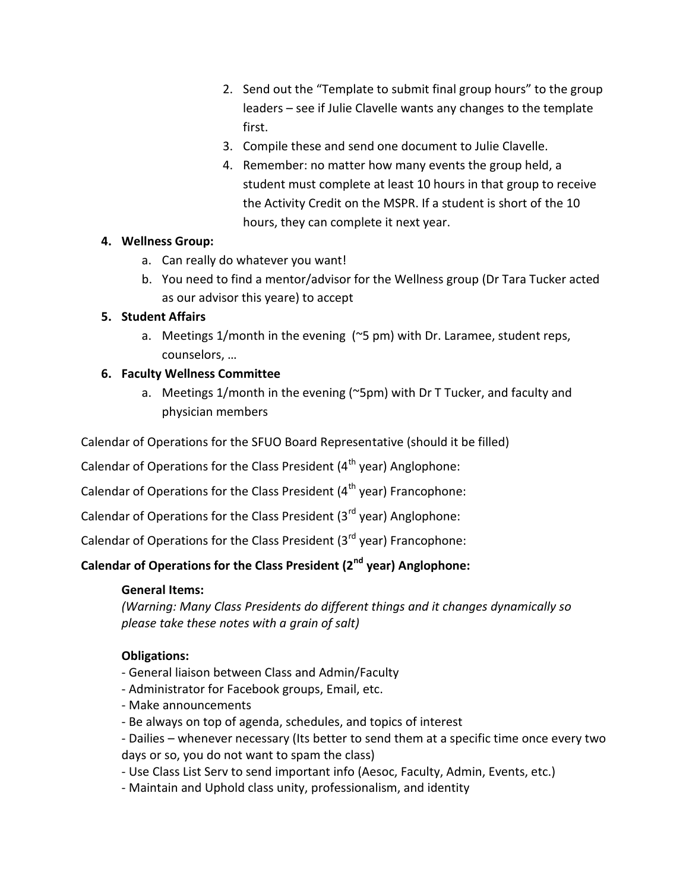- 2. Send out the "Template to submit final group hours" to the group leaders – see if Julie Clavelle wants any changes to the template first.
- 3. Compile these and send one document to Julie Clavelle.
- 4. Remember: no matter how many events the group held, a student must complete at least 10 hours in that group to receive the Activity Credit on the MSPR. If a student is short of the 10 hours, they can complete it next year.

# **4. Wellness Group:**

- a. Can really do whatever you want!
- b. You need to find a mentor/advisor for the Wellness group (Dr Tara Tucker acted as our advisor this yeare) to accept

# **5. Student Affairs**

a. Meetings 1/month in the evening (~5 pm) with Dr. Laramee, student reps, counselors, …

#### **6. Faculty Wellness Committee**

a. Meetings 1/month in the evening (~5pm) with Dr T Tucker, and faculty and physician members

Calendar of Operations for the SFUO Board Representative (should it be filled)

Calendar of Operations for the Class President  $(4<sup>th</sup>$  year) Anglophone:

Calendar of Operations for the Class President  $(4<sup>th</sup>$  year) Francophone:

Calendar of Operations for the Class President  $(3<sup>rd</sup>$  year) Anglophone:

Calendar of Operations for the Class President  $(3^{rd}$  year) Francophone:

# **Calendar of Operations for the Class President (2nd year) Anglophone:**

#### **General Items:**

*(Warning: Many Class Presidents do different things and it changes dynamically so please take these notes with a grain of salt)*

# **Obligations:**

- General liaison between Class and Admin/Faculty
- Administrator for Facebook groups, Email, etc.
- Make announcements
- Be always on top of agenda, schedules, and topics of interest
- Dailies whenever necessary (Its better to send them at a specific time once every two days or so, you do not want to spam the class)
- Use Class List Serv to send important info (Aesoc, Faculty, Admin, Events, etc.)
- Maintain and Uphold class unity, professionalism, and identity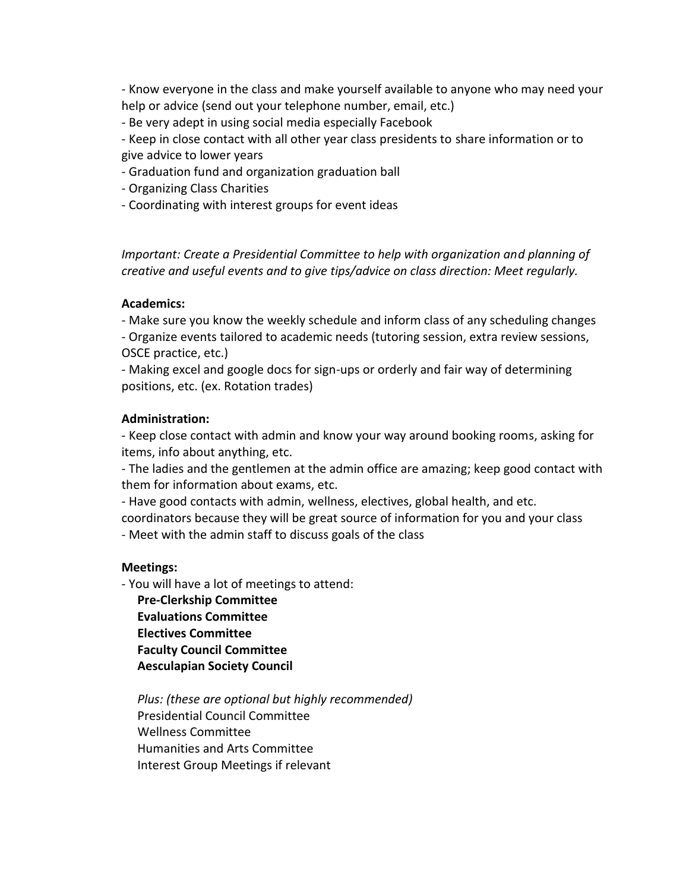- Know everyone in the class and make yourself available to anyone who may need your help or advice (send out your telephone number, email, etc.)

- Be very adept in using social media especially Facebook

- Keep in close contact with all other year class presidents to share information or to give advice to lower years

- Graduation fund and organization graduation ball
- Organizing Class Charities
- Coordinating with interest groups for event ideas

*Important: Create a Presidential Committee to help with organization and planning of creative and useful events and to give tips/advice on class direction: Meet regularly.*

#### **Academics:**

- Make sure you know the weekly schedule and inform class of any scheduling changes - Organize events tailored to academic needs (tutoring session, extra review sessions,

OSCE practice, etc.)

- Making excel and google docs for sign-ups or orderly and fair way of determining positions, etc. (ex. Rotation trades)

#### **Administration:**

- Keep close contact with admin and know your way around booking rooms, asking for items, info about anything, etc.

- The ladies and the gentlemen at the admin office are amazing; keep good contact with them for information about exams, etc.

- Have good contacts with admin, wellness, electives, global health, and etc.

coordinators because they will be great source of information for you and your class

- Meet with the admin staff to discuss goals of the class

#### **Meetings:**

- You will have a lot of meetings to attend:

**Pre-Clerkship Committee Evaluations Committee Electives Committee Faculty Council Committee Aesculapian Society Council**

*Plus: (these are optional but highly recommended)* Presidential Council Committee Wellness Committee Humanities and Arts Committee Interest Group Meetings if relevant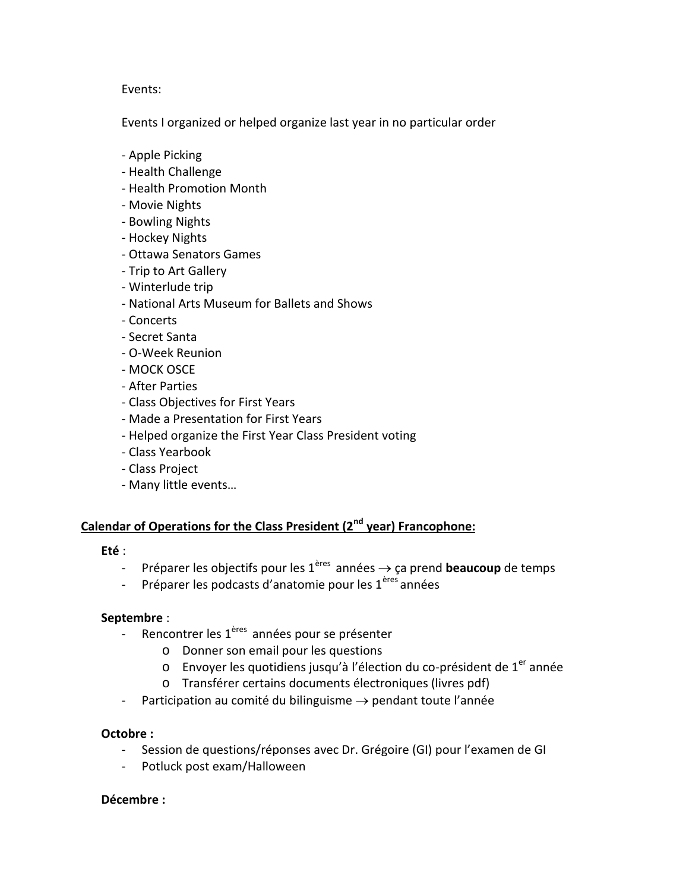#### Events:

Events I organized or helped organize last year in no particular order

- Apple Picking
- Health Challenge
- Health Promotion Month
- Movie Nights
- Bowling Nights
- Hockey Nights
- Ottawa Senators Games
- Trip to Art Gallery
- Winterlude trip
- National Arts Museum for Ballets and Shows
- Concerts
- Secret Santa
- O-Week Reunion
- MOCK OSCE
- After Parties
- Class Objectives for First Years
- Made a Presentation for First Years
- Helped organize the First Year Class President voting
- Class Yearbook
- Class Project
- Many little events…

# **Calendar of Operations for the Class President (2nd year) Francophone:**

- **Eté** :<br>- Préparer les objectifs pour les 1<sup>ères</sup> années  $\rightarrow$  ça prend **beaucoup** de temps
	- Préparer les podcasts d'anatomie pour les 1<sup>ères</sup> années

#### **Septembre** :

- Rencontrer les 1<sup>ères</sup> années pour se présenter
	- o Donner son email pour les questions
	- o Envoyer les quotidiens jusqu'à l'élection du co-président de 1<sup>er</sup> année
	- o Transférer certains documents électroniques (livres pdf)
- Participation au comité du bilinguisme  $\rightarrow$  pendant toute l'année

#### **Octobre :**

- Session de questions/réponses avec Dr. Grégoire (GI) pour l'examen de GI
- Potluck post exam/Halloween

#### **Décembre :**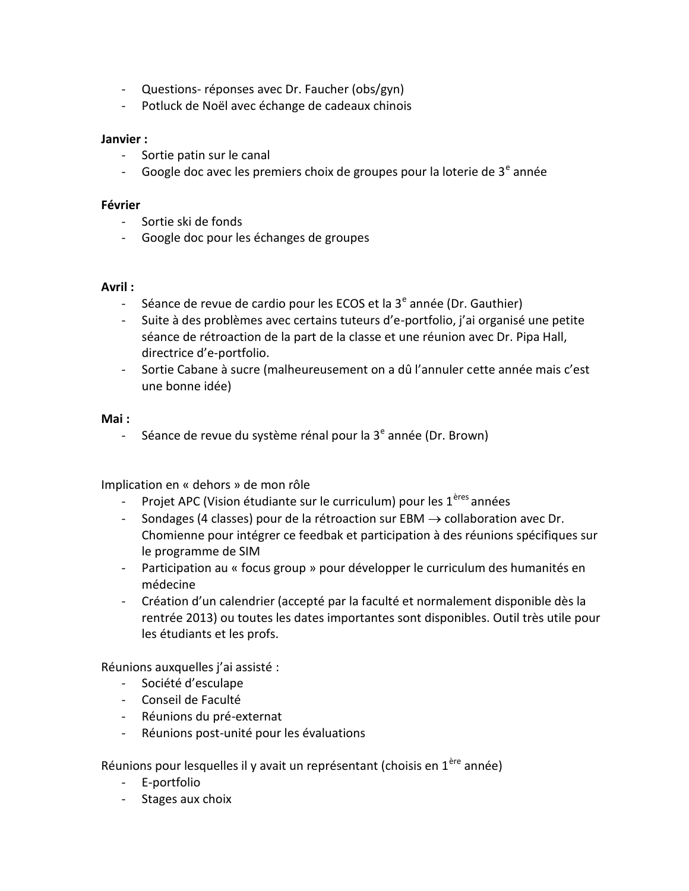- Questions- réponses avec Dr. Faucher (obs/gyn)
- Potluck de Noël avec échange de cadeaux chinois

#### **Janvier :**

- Sortie patin sur le canal
- Google doc avec les premiers choix de groupes pour la loterie de  $3<sup>e</sup>$  année

#### **Février**

- Sortie ski de fonds
- Google doc pour les échanges de groupes

#### **Avril :**

- Séance de revue de cardio pour les ECOS et la  $3<sup>e</sup>$  année (Dr. Gauthier)
- Suite à des problèmes avec certains tuteurs d'e-portfolio, j'ai organisé une petite séance de rétroaction de la part de la classe et une réunion avec Dr. Pipa Hall, directrice d'e-portfolio.
- Sortie Cabane à sucre (malheureusement on a dû l'annuler cette année mais c'est une bonne idée)

#### **Mai :**

- Séance de revue du système rénal pour la  $3<sup>e</sup>$  année (Dr. Brown)

Implication en « dehors » de mon rôle

- Projet APC (Vision étudiante sur le curriculum) pour les  $1^{éres}$  années
- Sondages (4 classes) pour de la rétroaction sur EBM  $\rightarrow$  collaboration avec Dr. Chomienne pour intégrer ce feedbak et participation à des réunions spécifiques sur le programme de SIM
- Participation au « focus group » pour développer le curriculum des humanités en médecine
- Création d'un calendrier (accepté par la faculté et normalement disponible dès la rentrée 2013) ou toutes les dates importantes sont disponibles. Outil très utile pour les étudiants et les profs.

Réunions auxquelles j'ai assisté :

- Société d'esculape
- Conseil de Faculté
- Réunions du pré-externat
- Réunions post-unité pour les évaluations

Réunions pour lesquelles il y avait un représentant (choisis en 1<sup>ère</sup> année)

- E-portfolio
- Stages aux choix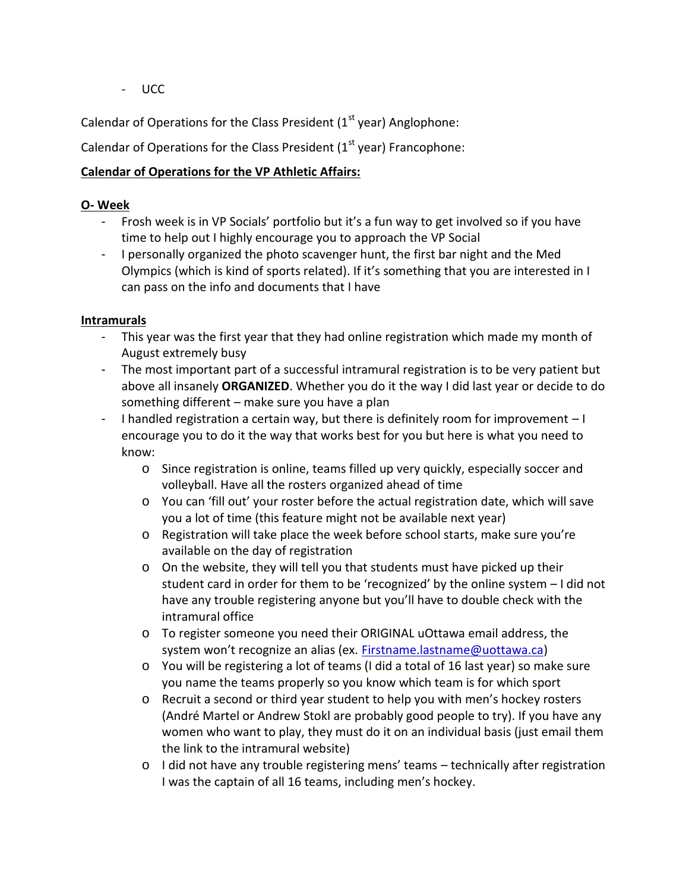- UCC

Calendar of Operations for the Class President  $(1<sup>st</sup>$  year) Anglophone:

Calendar of Operations for the Class President  $(1<sup>st</sup>$  year) Francophone:

# **Calendar of Operations for the VP Athletic Affairs:**

#### **O- Week**

- Frosh week is in VP Socials' portfolio but it's a fun way to get involved so if you have time to help out I highly encourage you to approach the VP Social
- I personally organized the photo scavenger hunt, the first bar night and the Med Olympics (which is kind of sports related). If it's something that you are interested in I can pass on the info and documents that I have

#### **Intramurals**

- This year was the first year that they had online registration which made my month of August extremely busy
- The most important part of a successful intramural registration is to be very patient but above all insanely **ORGANIZED**. Whether you do it the way I did last year or decide to do something different – make sure you have a plan
- I handled registration a certain way, but there is definitely room for improvement  $-1$ encourage you to do it the way that works best for you but here is what you need to know:
	- o Since registration is online, teams filled up very quickly, especially soccer and volleyball. Have all the rosters organized ahead of time
	- $\circ$  You can 'fill out' your roster before the actual registration date, which will save you a lot of time (this feature might not be available next year)
	- o Registration will take place the week before school starts, make sure you're available on the day of registration
	- o On the website, they will tell you that students must have picked up their student card in order for them to be 'recognized' by the online system – I did not have any trouble registering anyone but you'll have to double check with the intramural office
	- o To register someone you need their ORIGINAL uOttawa email address, the system won't recognize an alias (ex. Firstname.lastname@uottawa.ca)
	- o You will be registering a lot of teams (I did a total of 16 last year) so make sure you name the teams properly so you know which team is for which sport
	- o Recruit a second or third year student to help you with men's hockey rosters (André Martel or Andrew Stokl are probably good people to try). If you have any women who want to play, they must do it on an individual basis (just email them the link to the intramural website)
	- $\circ$  I did not have any trouble registering mens' teams technically after registration I was the captain of all 16 teams, including men's hockey.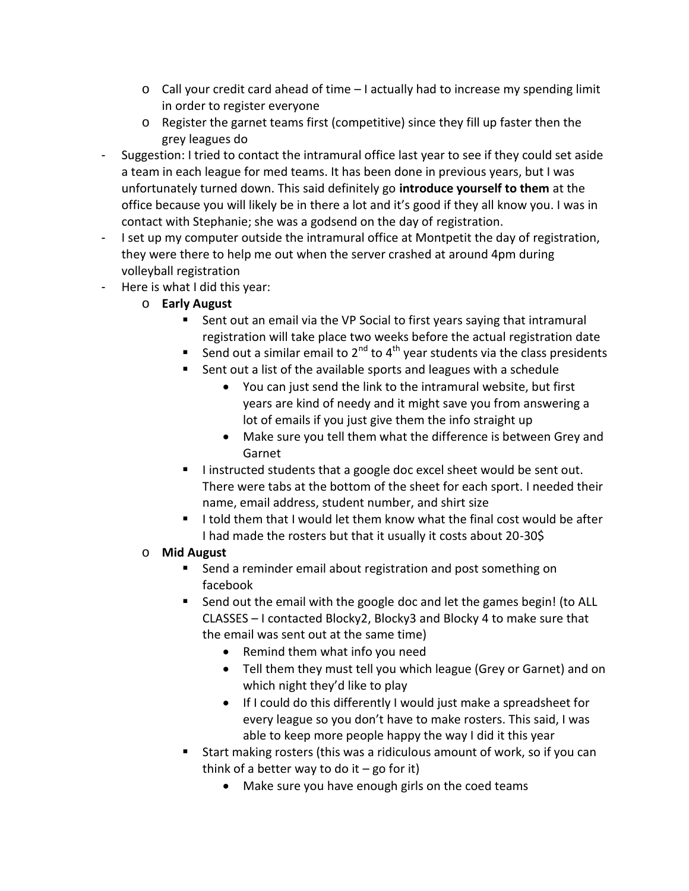- $\circ$  Call your credit card ahead of time  $-1$  actually had to increase my spending limit in order to register everyone
- o Register the garnet teams first (competitive) since they fill up faster then the grey leagues do
- Suggestion: I tried to contact the intramural office last year to see if they could set aside a team in each league for med teams. It has been done in previous years, but I was unfortunately turned down. This said definitely go **introduce yourself to them** at the office because you will likely be in there a lot and it's good if they all know you. I was in contact with Stephanie; she was a godsend on the day of registration.
- I set up my computer outside the intramural office at Montpetit the day of registration, they were there to help me out when the server crashed at around 4pm during volleyball registration
- Here is what I did this year:
	- o **Early August**
		- Sent out an email via the VP Social to first years saying that intramural registration will take place two weeks before the actual registration date
		- Send out a similar email to  $2^{nd}$  to  $4^{th}$  year students via the class presidents
		- Sent out a list of the available sports and leagues with a schedule
			- You can just send the link to the intramural website, but first years are kind of needy and it might save you from answering a lot of emails if you just give them the info straight up
			- Make sure you tell them what the difference is between Grey and Garnet
		- I instructed students that a google doc excel sheet would be sent out. There were tabs at the bottom of the sheet for each sport. I needed their name, email address, student number, and shirt size
		- I told them that I would let them know what the final cost would be after I had made the rosters but that it usually it costs about 20-30\$

# o **Mid August**

- Send a reminder email about registration and post something on facebook
- Send out the email with the google doc and let the games begin! (to ALL CLASSES – I contacted Blocky2, Blocky3 and Blocky 4 to make sure that the email was sent out at the same time)
	- Remind them what info you need
	- Tell them they must tell you which league (Grey or Garnet) and on which night they'd like to play
	- If I could do this differently I would just make a spreadsheet for every league so you don't have to make rosters. This said, I was able to keep more people happy the way I did it this year
- Start making rosters (this was a ridiculous amount of work, so if you can think of a better way to do it  $-$  go for it)
	- Make sure you have enough girls on the coed teams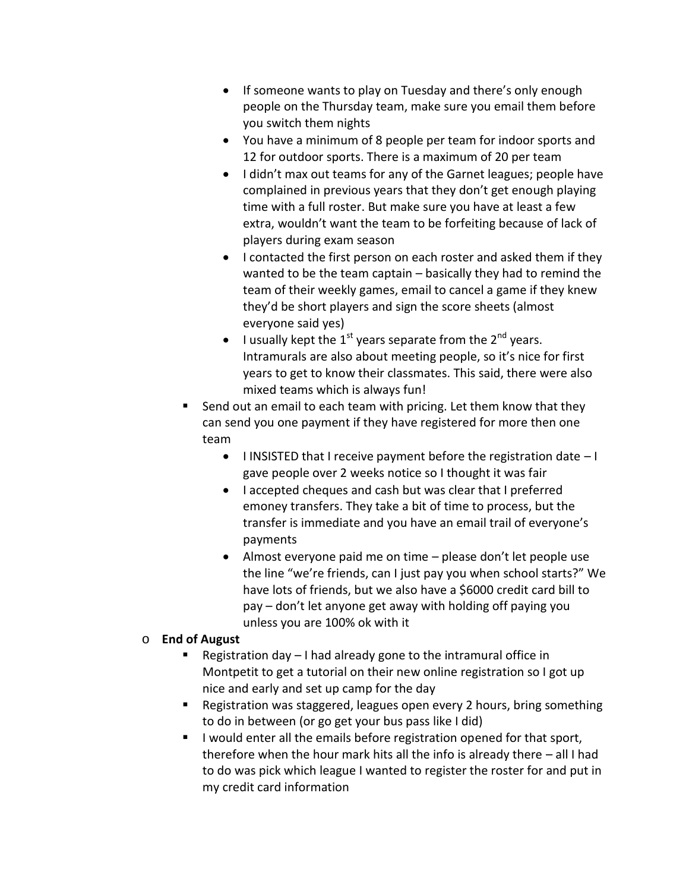- If someone wants to play on Tuesday and there's only enough people on the Thursday team, make sure you email them before you switch them nights
- You have a minimum of 8 people per team for indoor sports and 12 for outdoor sports. There is a maximum of 20 per team
- I didn't max out teams for any of the Garnet leagues; people have complained in previous years that they don't get enough playing time with a full roster. But make sure you have at least a few extra, wouldn't want the team to be forfeiting because of lack of players during exam season
- I contacted the first person on each roster and asked them if they wanted to be the team captain – basically they had to remind the team of their weekly games, email to cancel a game if they knew they'd be short players and sign the score sheets (almost everyone said yes)
- I usually kept the 1<sup>st</sup> years separate from the 2<sup>nd</sup> years. Intramurals are also about meeting people, so it's nice for first years to get to know their classmates. This said, there were also mixed teams which is always fun!
- Send out an email to each team with pricing. Let them know that they can send you one payment if they have registered for more then one team
	- $\bullet$  I INSISTED that I receive payment before the registration date  $-1$ gave people over 2 weeks notice so I thought it was fair
	- I accepted cheques and cash but was clear that I preferred emoney transfers. They take a bit of time to process, but the transfer is immediate and you have an email trail of everyone's payments
	- Almost everyone paid me on time please don't let people use the line "we're friends, can I just pay you when school starts?" We have lots of friends, but we also have a \$6000 credit card bill to pay – don't let anyone get away with holding off paying you unless you are 100% ok with it

# o **End of August**

- Registration day  $-1$  had already gone to the intramural office in Montpetit to get a tutorial on their new online registration so I got up nice and early and set up camp for the day
- Registration was staggered, leagues open every 2 hours, bring something to do in between (or go get your bus pass like I did)
- **I** lwould enter all the emails before registration opened for that sport, therefore when the hour mark hits all the info is already there – all I had to do was pick which league I wanted to register the roster for and put in my credit card information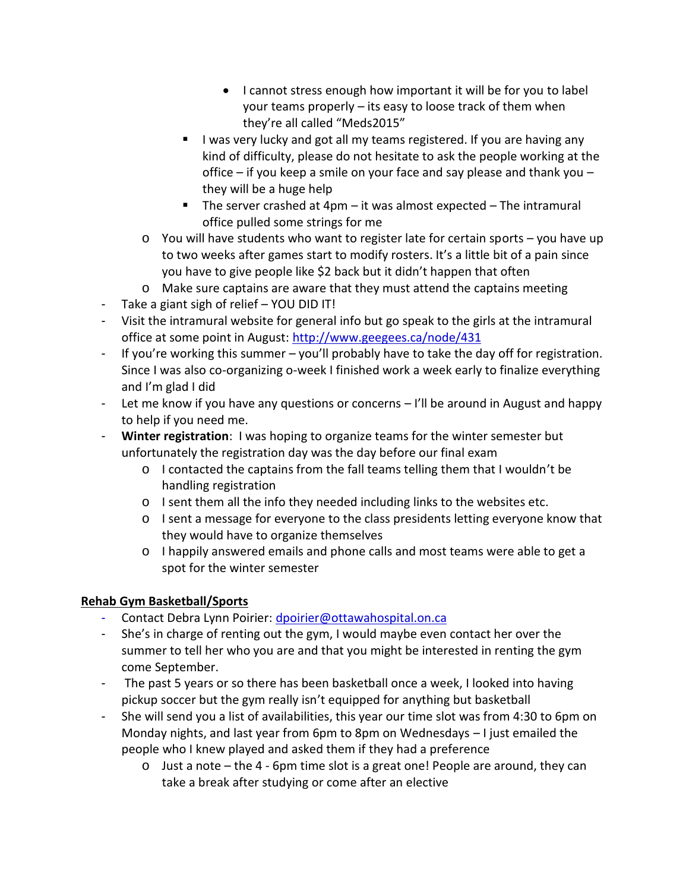- I cannot stress enough how important it will be for you to label your teams properly – its easy to loose track of them when they're all called "Meds2015"
- I was very lucky and got all my teams registered. If you are having any kind of difficulty, please do not hesitate to ask the people working at the office – if you keep a smile on your face and say please and thank you – they will be a huge help
- The server crashed at  $4$ pm it was almost expected The intramural office pulled some strings for me
- $\circ$  You will have students who want to register late for certain sports you have up to two weeks after games start to modify rosters. It's a little bit of a pain since you have to give people like \$2 back but it didn't happen that often
- o Make sure captains are aware that they must attend the captains meeting
- Take a giant sigh of relief YOU DID IT!
- Visit the intramural website for general info but go speak to the girls at the intramural office at some point in August: http://www.geegees.ca/node/431
- If you're working this summer you'll probably have to take the day off for registration. Since I was also co-organizing o-week I finished work a week early to finalize everything and I'm glad I did
- Let me know if you have any questions or concerns I'll be around in August and happy to help if you need me.
- **Winter registration**: I was hoping to organize teams for the winter semester but unfortunately the registration day was the day before our final exam
	- $\circ$  I contacted the captains from the fall teams telling them that I wouldn't be handling registration
	- o I sent them all the info they needed including links to the websites etc.
	- o I sent a message for everyone to the class presidents letting everyone know that they would have to organize themselves
	- o I happily answered emails and phone calls and most teams were able to get a spot for the winter semester

# **Rehab Gym Basketball/Sports**

- Contact Debra Lynn Poirier: dpoirier@ottawahospital.on.ca
- She's in charge of renting out the gym, I would maybe even contact her over the summer to tell her who you are and that you might be interested in renting the gym come September.
- The past 5 years or so there has been basketball once a week, I looked into having pickup soccer but the gym really isn't equipped for anything but basketball
- She will send you a list of availabilities, this year our time slot was from 4:30 to 6pm on Monday nights, and last year from 6pm to 8pm on Wednesdays – I just emailed the people who I knew played and asked them if they had a preference
	- $\circ$  Just a note the 4 6pm time slot is a great one! People are around, they can take a break after studying or come after an elective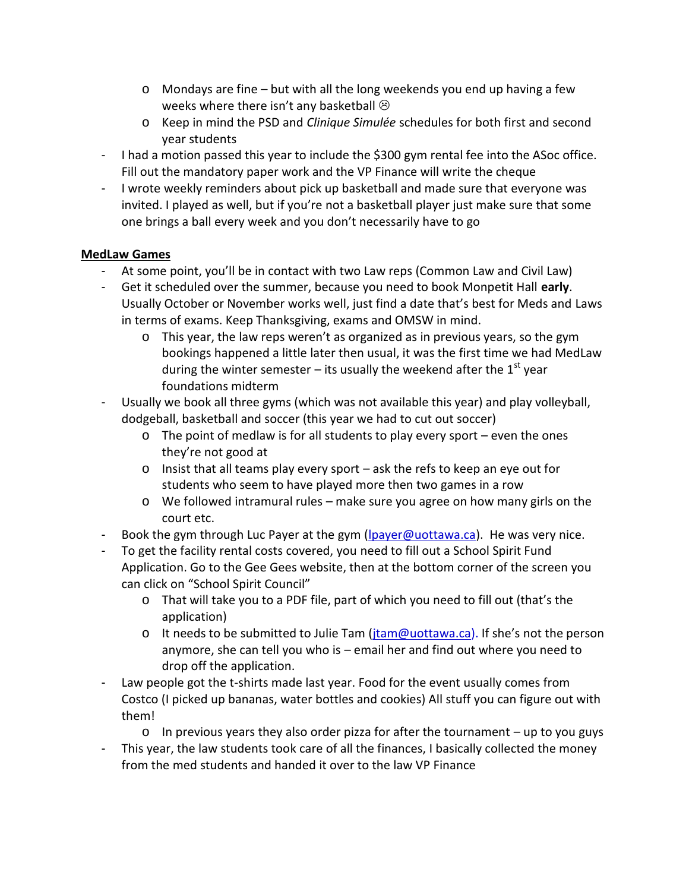- o Mondays are fine but with all the long weekends you end up having a few weeks where there isn't any basketball  $\odot$
- o Keep in mind the PSD and *Clinique Simulée* schedules for both first and second year students
- I had a motion passed this year to include the \$300 gym rental fee into the ASoc office. Fill out the mandatory paper work and the VP Finance will write the cheque
- I wrote weekly reminders about pick up basketball and made sure that everyone was invited. I played as well, but if you're not a basketball player just make sure that some one brings a ball every week and you don't necessarily have to go

# **MedLaw Games**

- At some point, you'll be in contact with two Law reps (Common Law and Civil Law)
- Get it scheduled over the summer, because you need to book Monpetit Hall **early**. Usually October or November works well, just find a date that's best for Meds and Laws in terms of exams. Keep Thanksgiving, exams and OMSW in mind.
	- o This year, the law reps weren't as organized as in previous years, so the gym bookings happened a little later then usual, it was the first time we had MedLaw during the winter semester – its usually the weekend after the  $1<sup>st</sup>$  year foundations midterm
- Usually we book all three gyms (which was not available this year) and play volleyball, dodgeball, basketball and soccer (this year we had to cut out soccer)
	- o The point of medlaw is for all students to play every sport even the ones they're not good at
	- o Insist that all teams play every sport ask the refs to keep an eye out for students who seem to have played more then two games in a row
	- $\circ$  We followed intramural rules make sure you agree on how many girls on the court etc.
- Book the gym through Luc Payer at the gym (lpayer@uottawa.ca). He was very nice.
- To get the facility rental costs covered, you need to fill out a School Spirit Fund Application. Go to the Gee Gees website, then at the bottom corner of the screen you can click on "School Spirit Council"
	- o That will take you to a PDF file, part of which you need to fill out (that's the application)
	- o It needs to be submitted to Julie Tam (jtam@uottawa.ca). If she's not the person anymore, she can tell you who is – email her and find out where you need to drop off the application.
- Law people got the t-shirts made last year. Food for the event usually comes from Costco (I picked up bananas, water bottles and cookies) All stuff you can figure out with them!
	- $\circ$  In previous years they also order pizza for after the tournament up to you guys
- This year, the law students took care of all the finances, I basically collected the money from the med students and handed it over to the law VP Finance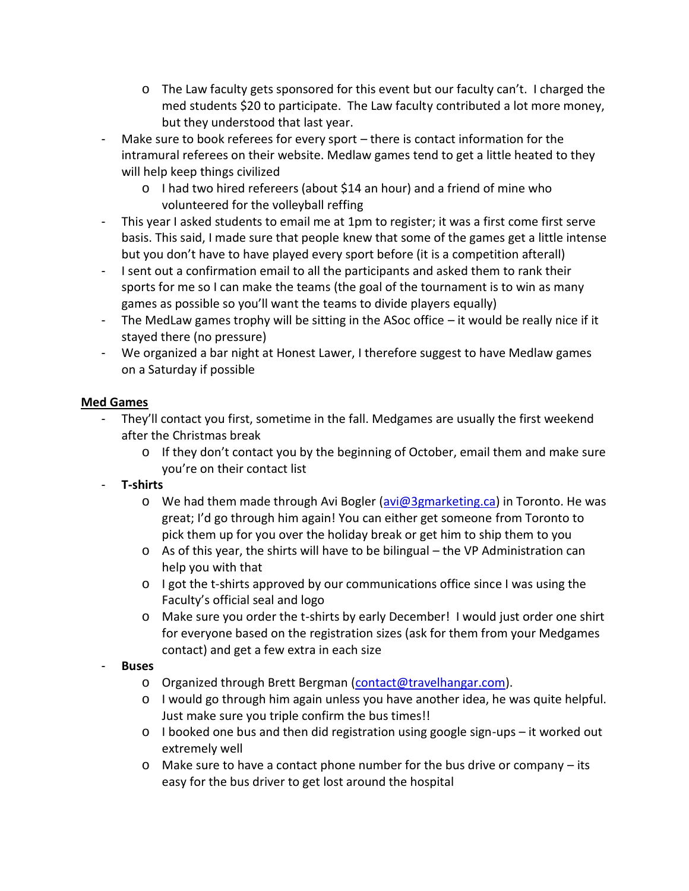- o The Law faculty gets sponsored for this event but our faculty can't. I charged the med students \$20 to participate. The Law faculty contributed a lot more money, but they understood that last year.
- Make sure to book referees for every sport there is contact information for the intramural referees on their website. Medlaw games tend to get a little heated to they will help keep things civilized
	- o I had two hired refereers (about \$14 an hour) and a friend of mine who volunteered for the volleyball reffing
- This year I asked students to email me at 1pm to register; it was a first come first serve basis. This said, I made sure that people knew that some of the games get a little intense but you don't have to have played every sport before (it is a competition afterall)
- I sent out a confirmation email to all the participants and asked them to rank their sports for me so I can make the teams (the goal of the tournament is to win as many games as possible so you'll want the teams to divide players equally)
- The MedLaw games trophy will be sitting in the ASoc office it would be really nice if it stayed there (no pressure)
- We organized a bar night at Honest Lawer, I therefore suggest to have Medlaw games on a Saturday if possible

# **Med Games**

- They'll contact you first, sometime in the fall. Medgames are usually the first weekend after the Christmas break
	- $\circ$  If they don't contact you by the beginning of October, email them and make sure you're on their contact list

# - **T-shirts**

- o We had them made through Avi Bogler (avi@3gmarketing.ca) in Toronto. He was great; I'd go through him again! You can either get someone from Toronto to pick them up for you over the holiday break or get him to ship them to you
- $\circ$  As of this year, the shirts will have to be bilingual the VP Administration can help you with that
- $\circ$  I got the t-shirts approved by our communications office since I was using the Faculty's official seal and logo
- o Make sure you order the t-shirts by early December! I would just order one shirt for everyone based on the registration sizes (ask for them from your Medgames contact) and get a few extra in each size

# - **Buses**

- o Organized through Brett Bergman (contact@travelhangar.com).
- o I would go through him again unless you have another idea, he was quite helpful. Just make sure you triple confirm the bus times!!
- $\circ$  I booked one bus and then did registration using google sign-ups it worked out extremely well
- $\circ$  Make sure to have a contact phone number for the bus drive or company its easy for the bus driver to get lost around the hospital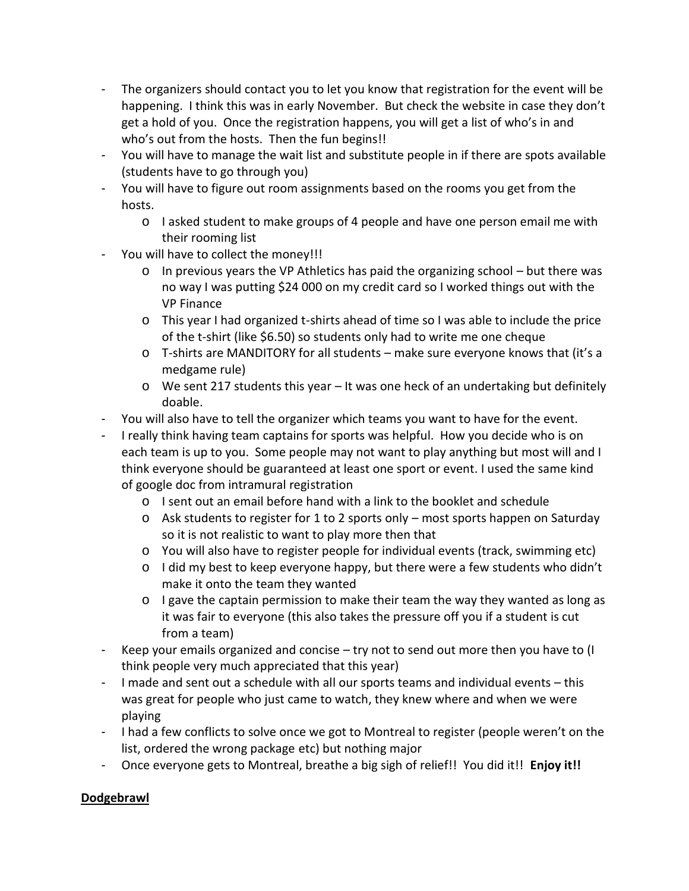- The organizers should contact you to let you know that registration for the event will be happening. I think this was in early November. But check the website in case they don't get a hold of you. Once the registration happens, you will get a list of who's in and who's out from the hosts. Then the fun begins!!
- You will have to manage the wait list and substitute people in if there are spots available (students have to go through you)
- You will have to figure out room assignments based on the rooms you get from the hosts.
	- o I asked student to make groups of 4 people and have one person email me with their rooming list
- You will have to collect the money!!!
	- $\circ$  In previous years the VP Athletics has paid the organizing school but there was no way I was putting \$24 000 on my credit card so I worked things out with the VP Finance
	- o This year I had organized t-shirts ahead of time so I was able to include the price of the t-shirt (like \$6.50) so students only had to write me one cheque
	- $\circ$  T-shirts are MANDITORY for all students make sure everyone knows that (it's a medgame rule)
	- o We sent 217 students this year It was one heck of an undertaking but definitely doable.
- You will also have to tell the organizer which teams you want to have for the event.
- I really think having team captains for sports was helpful. How you decide who is on each team is up to you. Some people may not want to play anything but most will and I think everyone should be guaranteed at least one sport or event. I used the same kind of google doc from intramural registration
	- o I sent out an email before hand with a link to the booklet and schedule
	- o Ask students to register for 1 to 2 sports only most sports happen on Saturday so it is not realistic to want to play more then that
	- o You will also have to register people for individual events (track, swimming etc)
	- o I did my best to keep everyone happy, but there were a few students who didn't make it onto the team they wanted
	- $\circ$  I gave the captain permission to make their team the way they wanted as long as it was fair to everyone (this also takes the pressure off you if a student is cut from a team)
- Keep your emails organized and concise try not to send out more then you have to (I think people very much appreciated that this year)
- I made and sent out a schedule with all our sports teams and individual events this was great for people who just came to watch, they knew where and when we were playing
- I had a few conflicts to solve once we got to Montreal to register (people weren't on the list, ordered the wrong package etc) but nothing major
- Once everyone gets to Montreal, breathe a big sigh of relief!! You did it!! **Enjoy it!!**

# **Dodgebrawl**